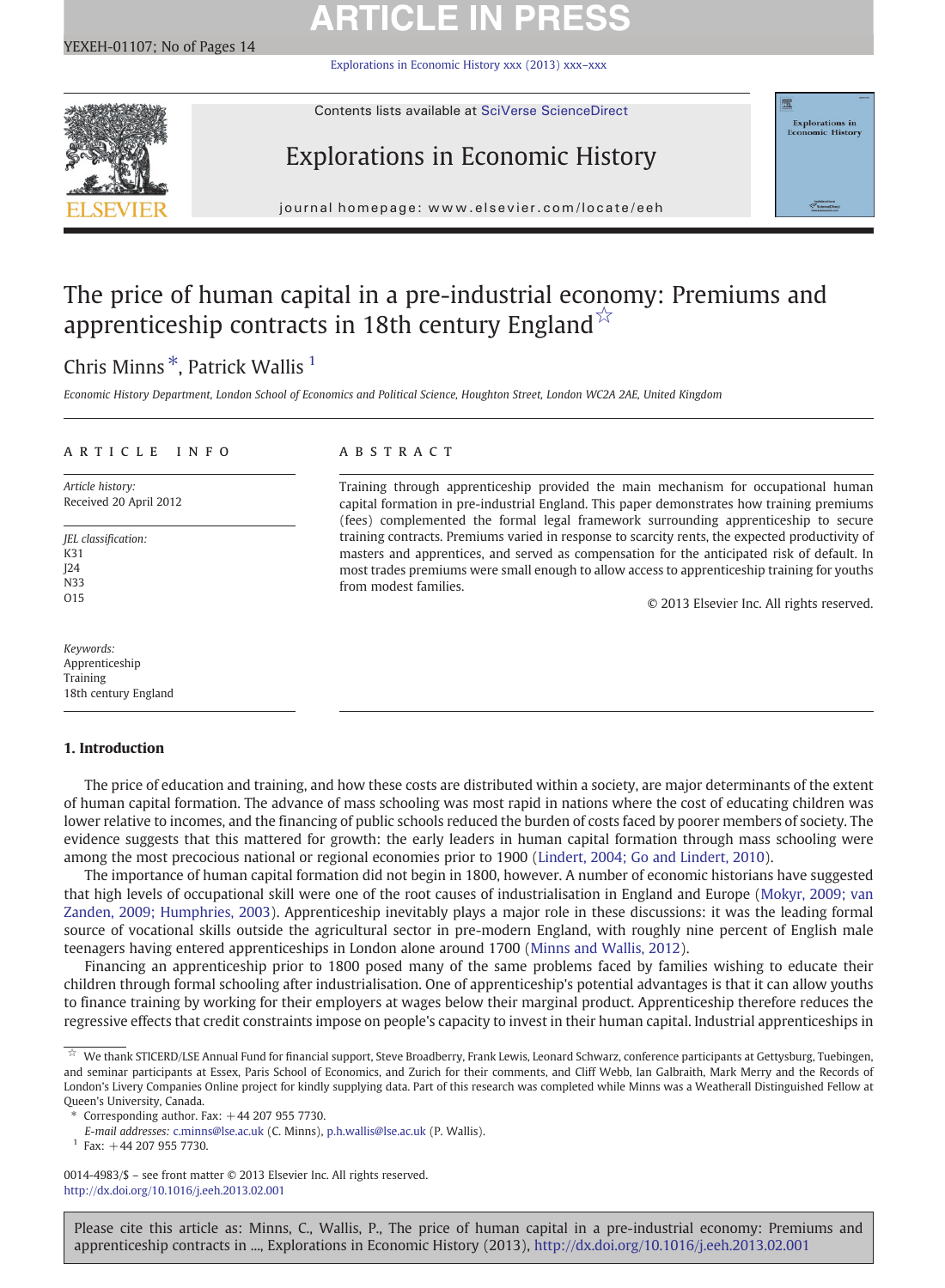# **ARTICLE IN PRESS**

[Explorations in Economic History xxx \(2013\) xxx](http://dx.doi.org/10.1016/j.eeh.2013.02.001)–xxx



Contents lists available at SciVerse ScienceDirect

# Explorations in Economic History



journal homepage: www.elsevier.com/locate/eeh/locate/eeh/locate/eeh/locate/eeh/locate/eeh/locate/eeh/locate/eeh/locate/eeh/locate/eeh/locate/eeh/locate/eeh/locate/eeh/locate/eeh/locate/eeh/locate/eeh/locate/eeh/locate/eeh

## The price of human capital in a pre-industrial economy: Premiums and apprenticeship contracts in 18th century England $\frac{1}{2}$

## Chris Minns<sup>\*</sup>, Patrick Wallis<sup>1</sup>

Economic History Department, London School of Economics and Political Science, Houghton Street, London WC2A 2AE, United Kingdom

## article info abstract

Article history: Received 20 April 2012

JEL classification: K31 J24  $N33$ O15

Keywords: Apprenticeship Training 18th century England

## 1. Introduction

Training through apprenticeship provided the main mechanism for occupational human capital formation in pre-industrial England. This paper demonstrates how training premiums (fees) complemented the formal legal framework surrounding apprenticeship to secure training contracts. Premiums varied in response to scarcity rents, the expected productivity of masters and apprentices, and served as compensation for the anticipated risk of default. In most trades premiums were small enough to allow access to apprenticeship training for youths from modest families.

© 2013 Elsevier Inc. All rights reserved.

The price of education and training, and how these costs are distributed within a society, are major determinants of the extent of human capital formation. The advance of mass schooling was most rapid in nations where the cost of educating children was lower relative to incomes, and the financing of public schools reduced the burden of costs faced by poorer members of society. The evidence suggests that this mattered for growth: the early leaders in human capital formation through mass schooling were among the most precocious national or regional economies prior to 1900 ([Lindert, 2004; Go and Lindert, 2010](#page--1-0)).

The importance of human capital formation did not begin in 1800, however. A number of economic historians have suggested that high levels of occupational skill were one of the root causes of industrialisation in England and Europe [\(Mokyr, 2009; van](#page--1-0) [Zanden, 2009; Humphries, 2003\)](#page--1-0). Apprenticeship inevitably plays a major role in these discussions: it was the leading formal source of vocational skills outside the agricultural sector in pre-modern England, with roughly nine percent of English male teenagers having entered apprenticeships in London alone around 1700 ([Minns and Wallis, 2012\)](#page--1-0).

Financing an apprenticeship prior to 1800 posed many of the same problems faced by families wishing to educate their children through formal schooling after industrialisation. One of apprenticeship's potential advantages is that it can allow youths to finance training by working for their employers at wages below their marginal product. Apprenticeship therefore reduces the regressive effects that credit constraints impose on people's capacity to invest in their human capital. Industrial apprenticeships in

 $1$  Fax:  $+44$  207 955 7730.

0014-4983/\$ – see front matter © 2013 Elsevier Inc. All rights reserved. <http://dx.doi.org/10.1016/j.eeh.2013.02.001>

Please cite this article as: Minns, C., Wallis, P., The price of human capital in a pre-industrial economy: Premiums and apprenticeship contracts in ..., Explorations in Economic History (2013), <http://dx.doi.org/10.1016/j.eeh.2013.02.001>

We thank STICERD/LSE Annual Fund for financial support, Steve Broadberry, Frank Lewis, Leonard Schwarz, conference participants at Gettysburg, Tuebingen, and seminar participants at Essex, Paris School of Economics, and Zurich for their comments, and Cliff Webb, Ian Galbraith, Mark Merry and the Records of London's Livery Companies Online project for kindly supplying data. Part of this research was completed while Minns was a Weatherall Distinguished Fellow at Queen's University, Canada.

Corresponding author. Fax:  $+44$  207 955 7730.

E-mail addresses: [c.minns@lse.ac.uk](mailto:c.minns@lse.ac.uk) (C. Minns), [p.h.wallis@lse.ac.uk](mailto:p.h.wallis@lse.ac.uk) (P. Wallis).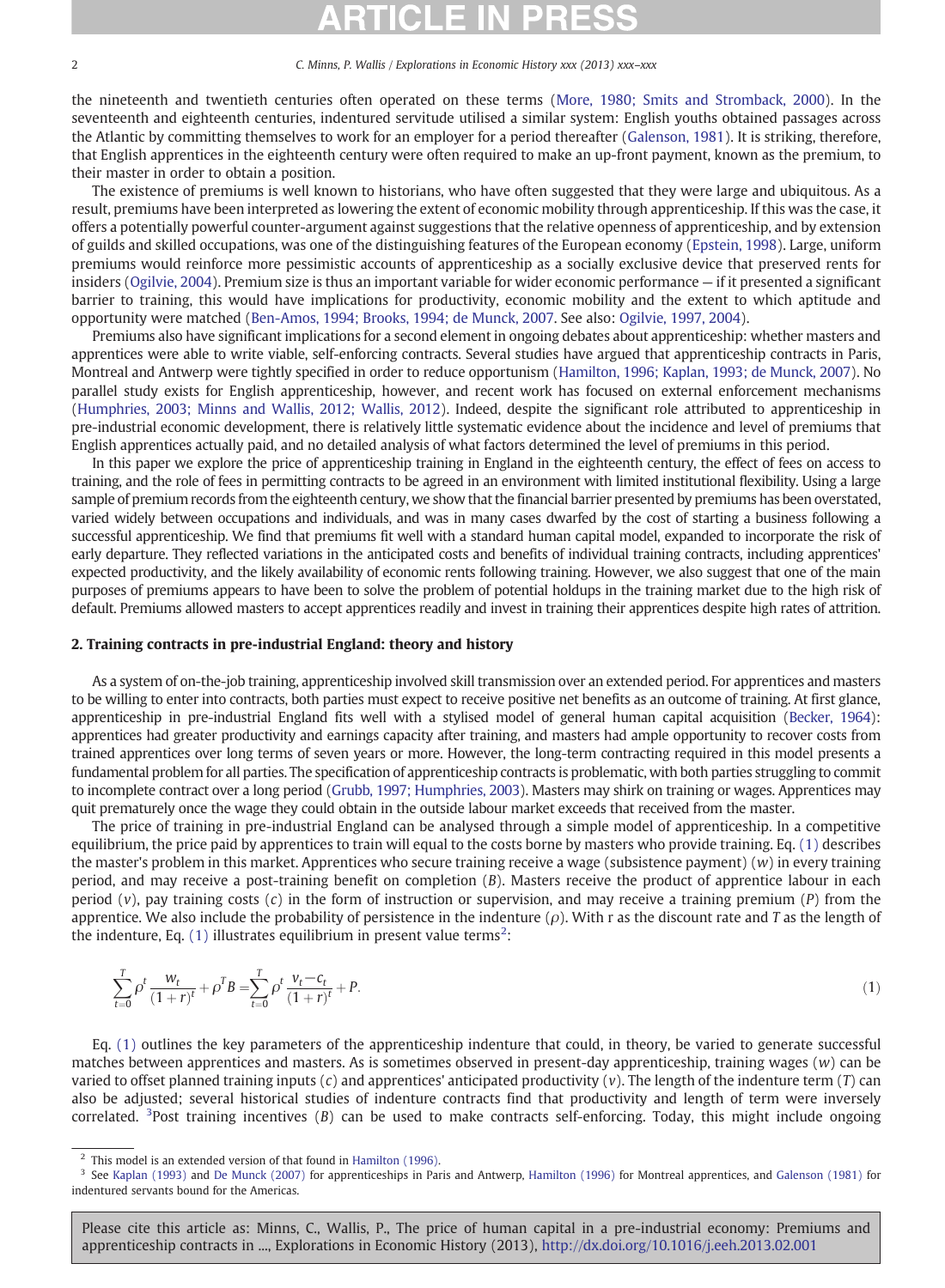### 2 C. Minns, P. Wallis / Explorations in Economic History xxx (2013) xxx–xxx

the nineteenth and twentieth centuries often operated on these terms [\(More, 1980; Smits and Stromback, 2000](#page--1-0)). In the seventeenth and eighteenth centuries, indentured servitude utilised a similar system: English youths obtained passages across the Atlantic by committing themselves to work for an employer for a period thereafter ([Galenson, 1981](#page--1-0)). It is striking, therefore, that English apprentices in the eighteenth century were often required to make an up-front payment, known as the premium, to their master in order to obtain a position.

The existence of premiums is well known to historians, who have often suggested that they were large and ubiquitous. As a result, premiums have been interpreted as lowering the extent of economic mobility through apprenticeship. If this was the case, it offers a potentially powerful counter-argument against suggestions that the relative openness of apprenticeship, and by extension of guilds and skilled occupations, was one of the distinguishing features of the European economy ([Epstein, 1998\)](#page--1-0). Large, uniform premiums would reinforce more pessimistic accounts of apprenticeship as a socially exclusive device that preserved rents for insiders ([Ogilvie, 2004](#page--1-0)). Premium size is thus an important variable for wider economic performance — if it presented a significant barrier to training, this would have implications for productivity, economic mobility and the extent to which aptitude and opportunity were matched ([Ben-Amos, 1994; Brooks, 1994; de Munck, 2007](#page--1-0). See also: [Ogilvie, 1997, 2004\)](#page--1-0).

Premiums also have significant implications for a second element in ongoing debates about apprenticeship: whether masters and apprentices were able to write viable, self-enforcing contracts. Several studies have argued that apprenticeship contracts in Paris, Montreal and Antwerp were tightly specified in order to reduce opportunism ([Hamilton, 1996; Kaplan, 1993; de Munck, 2007\)](#page--1-0). No parallel study exists for English apprenticeship, however, and recent work has focused on external enforcement mechanisms ([Humphries, 2003; Minns and Wallis, 2012; Wallis, 2012\)](#page--1-0). Indeed, despite the significant role attributed to apprenticeship in pre-industrial economic development, there is relatively little systematic evidence about the incidence and level of premiums that English apprentices actually paid, and no detailed analysis of what factors determined the level of premiums in this period.

In this paper we explore the price of apprenticeship training in England in the eighteenth century, the effect of fees on access to training, and the role of fees in permitting contracts to be agreed in an environment with limited institutional flexibility. Using a large sample of premium records from the eighteenth century, we show that the financial barrier presented by premiums has been overstated, varied widely between occupations and individuals, and was in many cases dwarfed by the cost of starting a business following a successful apprenticeship. We find that premiums fit well with a standard human capital model, expanded to incorporate the risk of early departure. They reflected variations in the anticipated costs and benefits of individual training contracts, including apprentices' expected productivity, and the likely availability of economic rents following training. However, we also suggest that one of the main purposes of premiums appears to have been to solve the problem of potential holdups in the training market due to the high risk of default. Premiums allowed masters to accept apprentices readily and invest in training their apprentices despite high rates of attrition.

## 2. Training contracts in pre-industrial England: theory and history

As a system of on-the-job training, apprenticeship involved skill transmission over an extended period. For apprentices and masters to be willing to enter into contracts, both parties must expect to receive positive net benefits as an outcome of training. At first glance, apprenticeship in pre-industrial England fits well with a stylised model of general human capital acquisition ([Becker, 1964](#page--1-0)): apprentices had greater productivity and earnings capacity after training, and masters had ample opportunity to recover costs from trained apprentices over long terms of seven years or more. However, the long-term contracting required in this model presents a fundamental problem for all parties. The specification of apprenticeship contracts is problematic, with both parties struggling to commit to incomplete contract over a long period [\(Grubb, 1997; Humphries, 2003](#page--1-0)). Masters may shirk on training or wages. Apprentices may quit prematurely once the wage they could obtain in the outside labour market exceeds that received from the master.

The price of training in pre-industrial England can be analysed through a simple model of apprenticeship. In a competitive equilibrium, the price paid by apprentices to train will equal to the costs borne by masters who provide training. Eq. (1) describes the master's problem in this market. Apprentices who secure training receive a wage (subsistence payment)  $(w)$  in every training period, and may receive a post-training benefit on completion (B). Masters receive the product of apprentice labour in each period  $(v)$ , pay training costs  $(c)$  in the form of instruction or supervision, and may receive a training premium  $(P)$  from the apprentice. We also include the probability of persistence in the indenture ( $\rho$ ). With r as the discount rate and T as the length of the indenture, Eq. (1) illustrates equilibrium in present value terms<sup>2</sup>:

$$
\sum_{t=0}^{T} \rho^t \frac{w_t}{(1+r)^t} + \rho^T B = \sum_{t=0}^{T} \rho^t \frac{v_t - c_t}{(1+r)^t} + P. \tag{1}
$$

Eq. (1) outlines the key parameters of the apprenticeship indenture that could, in theory, be varied to generate successful matches between apprentices and masters. As is sometimes observed in present-day apprenticeship, training wages (w) can be varied to offset planned training inputs  $(c)$  and apprentices' anticipated productivity  $(v)$ . The length of the indenture term  $(T)$  can also be adjusted; several historical studies of indenture contracts find that productivity and length of term were inversely correlated. <sup>3</sup>Post training incentives (B) can be used to make contracts self-enforcing. Today, this might include ongoing

Please cite this article as: Minns, C., Wallis, P., The price of human capital in a pre-industrial economy: Premiums and apprenticeship contracts in ..., Explorations in Economic History (2013), <http://dx.doi.org/10.1016/j.eeh.2013.02.001>

<sup>&</sup>lt;sup>2</sup> This model is an extended version of that found in [Hamilton \(1996\)](#page--1-0).

<sup>3</sup> See [Kaplan \(1993\)](#page--1-0) and [De Munck \(2007\)](#page--1-0) for apprenticeships in Paris and Antwerp, [Hamilton \(1996\)](#page--1-0) for Montreal apprentices, and [Galenson \(1981\)](#page--1-0) for indentured servants bound for the Americas.